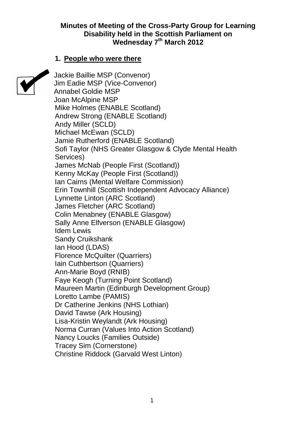### **Minutes of Meeting of the Cross-Party Group for Learning Disability held in the Scottish Parliament on Wednesday 7 th March 2012**

### **1. People who were there**



Jackie Baillie MSP (Convenor) Jim Eadie MSP (Vice-Convenor) Annabel Goldie MSP Joan McAlpine MSP Mike Holmes (ENABLE Scotland) Andrew Strong (ENABLE Scotland) Andy Miller (SCLD) Michael McEwan (SCLD) Jamie Rutherford (ENABLE Scotland) Sofi Taylor (NHS Greater Glasgow & Clyde Mental Health Services) James McNab (People First (Scotland)) Kenny McKay (People First (Scotland)) Ian Cairns (Mental Welfare Commission) Erin Townhill (Scottish Independent Advocacy Alliance) Lynnette Linton (ARC Scotland) James Fletcher (ARC Scotland) Colin Menabney (ENABLE Glasgow) Sally Anne Elfverson (ENABLE Glasgow) Idem Lewis Sandy Cruikshank Ian Hood (LDAS) Florence McQuilter (Quarriers) Iain Cuthbertson (Quarriers) Ann-Marie Boyd (RNIB) Faye Keogh (Turning Point Scotland) Maureen Martin (Edinburgh Development Group) Loretto Lambe (PAMIS) Dr Catherine Jenkins (NHS Lothian) David Tawse (Ark Housing) Lisa-Kristin Weylandt (Ark Housing) Norma Curran (Values Into Action Scotland) Nancy Loucks (Families Outside) Tracey Sim (Cornerstone) Christine Riddock (Garvald West Linton)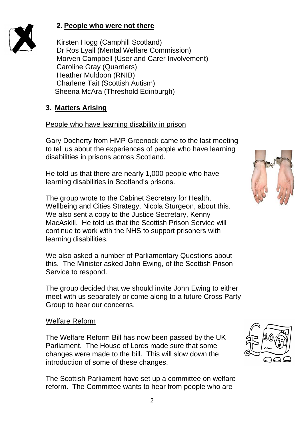

## **2. People who were not there**

Kirsten Hogg (Camphill Scotland) Dr Ros Lyall (Mental Welfare Commission) Morven Campbell (User and Carer Involvement) Caroline Gray (Quarriers) Heather Muldoon (RNIB) Charlene Tait (Scottish Autism) Sheena McAra (Threshold Edinburgh)

## **3. Matters Arising**

### People who have learning disability in prison

Gary Docherty from HMP Greenock came to the last meeting to tell us about the experiences of people who have learning disabilities in prisons across Scotland.

He told us that there are nearly 1,000 people who have learning disabilities in Scotland's prisons.

The group wrote to the Cabinet Secretary for Health, Wellbeing and Cities Strategy, Nicola Sturgeon, about this. We also sent a copy to the Justice Secretary, Kenny MacAskill. He told us that the Scottish Prison Service will continue to work with the NHS to support prisoners with learning disabilities.

We also asked a number of Parliamentary Questions about this. The Minister asked John Ewing, of the Scottish Prison Service to respond.

The group decided that we should invite John Ewing to either meet with us separately or come along to a future Cross Party Group to hear our concerns.

#### Welfare Reform

The Welfare Reform Bill has now been passed by the UK Parliament. The House of Lords made sure that some changes were made to the bill. This will slow down the introduction of some of these changes.

The Scottish Parliament have set up a committee on welfare reform. The Committee wants to hear from people who are



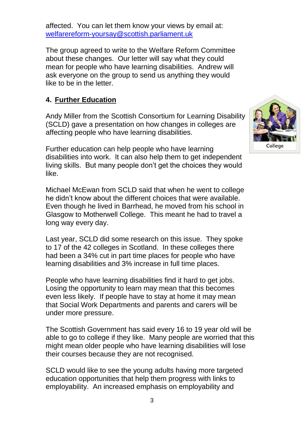affected. You can let them know your views by email at: [welfarereform-yoursay@scottish.parliament.uk](mailto:welfarereform-yoursay@scottish.parliament.uk)

The group agreed to write to the Welfare Reform Committee about these changes. Our letter will say what they could mean for people who have learning disabilities. Andrew will ask everyone on the group to send us anything they would like to be in the letter.

## **4. Further Education**

Andy Miller from the Scottish Consortium for Learning Disability (SCLD) gave a presentation on how changes in colleges are affecting people who have learning disabilities.

Further education can help people who have learning disabilities into work. It can also help them to get independent living skills. But many people don't get the choices they would like.

Michael McEwan from SCLD said that when he went to college he didn't know about the different choices that were available. Even though he lived in Barrhead, he moved from his school in Glasgow to Motherwell College. This meant he had to travel a long way every day.

Last year, SCLD did some research on this issue. They spoke to 17 of the 42 colleges in Scotland. In these colleges there had been a 34% cut in part time places for people who have learning disabilities and 3% increase in full time places.

People who have learning disabilities find it hard to get jobs. Losing the opportunity to learn may mean that this becomes even less likely. If people have to stay at home it may mean that Social Work Departments and parents and carers will be under more pressure.

The Scottish Government has said every 16 to 19 year old will be able to go to college if they like. Many people are worried that this might mean older people who have learning disabilities will lose their courses because they are not recognised.

SCLD would like to see the young adults having more targeted education opportunities that help them progress with links to employability. An increased emphasis on employability and

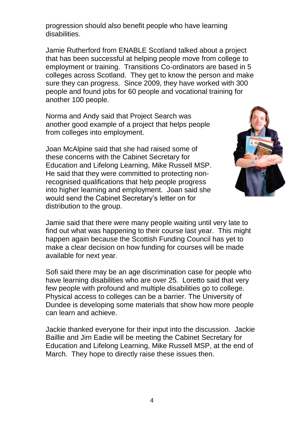progression should also benefit people who have learning disabilities.

Jamie Rutherford from ENABLE Scotland talked about a project that has been successful at helping people move from college to employment or training. Transitions Co-ordinators are based in 5 colleges across Scotland. They get to know the person and make sure they can progress. Since 2009, they have worked with 300 people and found jobs for 60 people and vocational training for another 100 people.

Norma and Andy said that Project Search was another good example of a project that helps people from colleges into employment.

Joan McAlpine said that she had raised some of these concerns with the Cabinet Secretary for Education and Lifelong Learning, Mike Russell MSP. He said that they were committed to protecting nonrecognised qualifications that help people progress into higher learning and employment. Joan said she would send the Cabinet Secretary's letter on for distribution to the group.



Jamie said that there were many people waiting until very late to find out what was happening to their course last year. This might happen again because the Scottish Funding Council has yet to make a clear decision on how funding for courses will be made available for next year.

Sofi said there may be an age discrimination case for people who have learning disabilities who are over 25. Loretto said that very few people with profound and multiple disabilities go to college. Physical access to colleges can be a barrier. The University of Dundee is developing some materials that show how more people can learn and achieve.

Jackie thanked everyone for their input into the discussion. Jackie Baillie and Jim Eadie will be meeting the Cabinet Secretary for Education and Lifelong Learning, Mike Russell MSP, at the end of March. They hope to directly raise these issues then.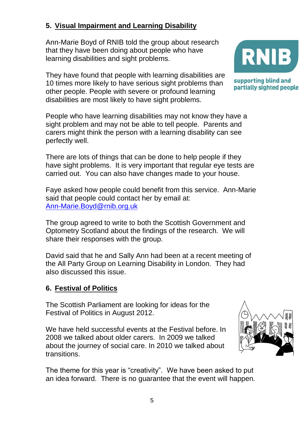# **5. Visual Impairment and Learning Disability**

Ann-Marie Boyd of RNIB told the group about research that they have been doing about people who have learning disabilities and sight problems.

They have found that people with learning disabilities are 10 times more likely to have serious sight problems than other people. People with severe or profound learning disabilities are most likely to have sight problems.



supporting blind and partially sighted people

People who have learning disabilities may not know they have a sight problem and may not be able to tell people. Parents and carers might think the person with a learning disability can see perfectly well.

There are lots of things that can be done to help people if they have sight problems. It is very important that regular eye tests are carried out. You can also have changes made to your house.

Faye asked how people could benefit from this service. Ann-Marie said that people could contact her by email at: [Ann-Marie.Boyd@rnib.org.uk](mailto:Ann-Marie.Boyd@rnib.org.uk)

The group agreed to write to both the Scottish Government and Optometry Scotland about the findings of the research. We will share their responses with the group.

David said that he and Sally Ann had been at a recent meeting of the All Party Group on Learning Disability in London. They had also discussed this issue.

## **6. Festival of Politics**

The Scottish Parliament are looking for ideas for the Festival of Politics in August 2012.

We have held successful events at the Festival before. In 2008 we talked about older carers. In 2009 we talked about the journey of social care. In 2010 we talked about transitions.



The theme for this year is "creativity". We have been asked to put an idea forward. There is no guarantee that the event will happen.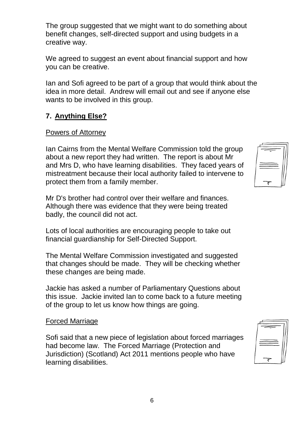The group suggested that we might want to do something about benefit changes, self-directed support and using budgets in a creative way.

We agreed to suggest an event about financial support and how you can be creative.

Ian and Sofi agreed to be part of a group that would think about the idea in more detail. Andrew will email out and see if anyone else wants to be involved in this group.

# **7. Anything Else?**

### Powers of Attorney

Ian Cairns from the Mental Welfare Commission told the group about a new report they had written. The report is about Mr and Mrs D, who have learning disabilities. They faced years of mistreatment because their local authority failed to intervene to protect them from a family member.

Mr D's brother had control over their welfare and finances. Although there was evidence that they were being treated badly, the council did not act.

Lots of local authorities are encouraging people to take out financial guardianship for Self-Directed Support.

The Mental Welfare Commission investigated and suggested that changes should be made. They will be checking whether these changes are being made.

Jackie has asked a number of Parliamentary Questions about this issue. Jackie invited Ian to come back to a future meeting of the group to let us know how things are going.

#### Forced Marriage

Sofi said that a new piece of legislation about forced marriages had become law. The Forced Marriage (Protection and Jurisdiction) (Scotland) Act 2011 mentions people who have learning disabilities.